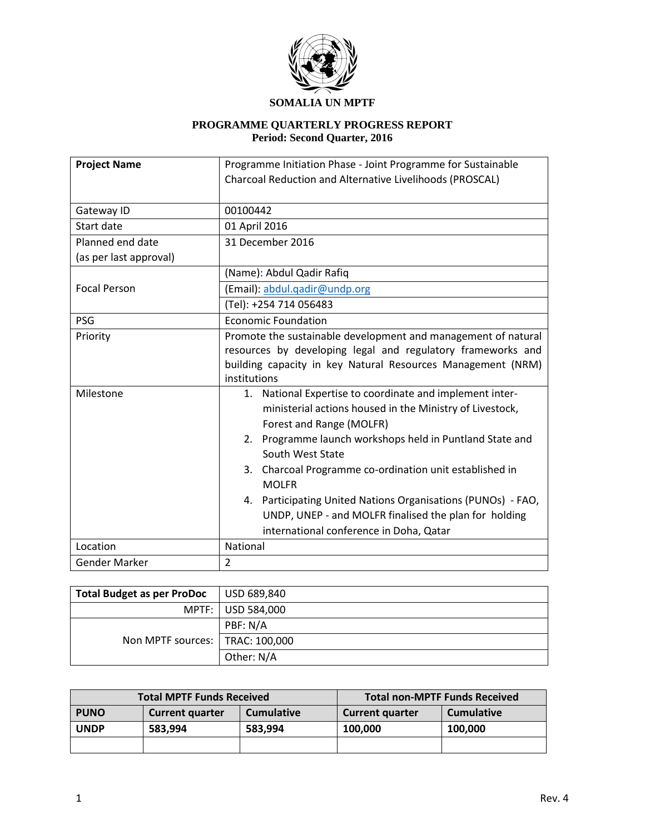

## **SOMALIA UN MPTF**

#### **PROGRAMME QUARTERLY PROGRESS REPORT Period: Second Quarter, 2016**

| <b>Project Name</b>    | Programme Initiation Phase - Joint Programme for Sustainable                                                                                                                                                                                                                                                                                                                                                                                                                             |  |  |  |  |
|------------------------|------------------------------------------------------------------------------------------------------------------------------------------------------------------------------------------------------------------------------------------------------------------------------------------------------------------------------------------------------------------------------------------------------------------------------------------------------------------------------------------|--|--|--|--|
|                        | Charcoal Reduction and Alternative Livelihoods (PROSCAL)                                                                                                                                                                                                                                                                                                                                                                                                                                 |  |  |  |  |
| Gateway ID             | 00100442                                                                                                                                                                                                                                                                                                                                                                                                                                                                                 |  |  |  |  |
| Start date             | 01 April 2016                                                                                                                                                                                                                                                                                                                                                                                                                                                                            |  |  |  |  |
| Planned end date       | 31 December 2016                                                                                                                                                                                                                                                                                                                                                                                                                                                                         |  |  |  |  |
| (as per last approval) |                                                                                                                                                                                                                                                                                                                                                                                                                                                                                          |  |  |  |  |
|                        | (Name): Abdul Qadir Rafiq                                                                                                                                                                                                                                                                                                                                                                                                                                                                |  |  |  |  |
| <b>Focal Person</b>    | (Email): abdul.gadir@undp.org                                                                                                                                                                                                                                                                                                                                                                                                                                                            |  |  |  |  |
|                        | (Tel): +254 714 056483                                                                                                                                                                                                                                                                                                                                                                                                                                                                   |  |  |  |  |
| PSG                    | <b>Economic Foundation</b>                                                                                                                                                                                                                                                                                                                                                                                                                                                               |  |  |  |  |
| Priority               | Promote the sustainable development and management of natural<br>resources by developing legal and regulatory frameworks and<br>building capacity in key Natural Resources Management (NRM)<br>institutions                                                                                                                                                                                                                                                                              |  |  |  |  |
| Milestone              | 1. National Expertise to coordinate and implement inter-<br>ministerial actions housed in the Ministry of Livestock,<br>Forest and Range (MOLFR)<br>Programme launch workshops held in Puntland State and<br>2.<br>South West State<br>Charcoal Programme co-ordination unit established in<br>3.<br><b>MOLFR</b><br>Participating United Nations Organisations (PUNOs) - FAO,<br>4.<br>UNDP, UNEP - and MOLFR finalised the plan for holding<br>international conference in Doha, Qatar |  |  |  |  |
| Location               | National                                                                                                                                                                                                                                                                                                                                                                                                                                                                                 |  |  |  |  |
| Gender Marker          | $\overline{2}$                                                                                                                                                                                                                                                                                                                                                                                                                                                                           |  |  |  |  |

| <b>Total Budget as per ProDoc</b> | USD 689,840         |
|-----------------------------------|---------------------|
|                                   | MPTF:   USD 584,000 |
|                                   | PBF: N/A            |
| Non MPTF sources:   TRAC: 100,000 |                     |
|                                   | Other: N/A          |

| <b>Total MPTF Funds Received</b> |                        |                   | <b>Total non-MPTF Funds Received</b>        |         |  |
|----------------------------------|------------------------|-------------------|---------------------------------------------|---------|--|
| <b>PUNO</b>                      | <b>Current quarter</b> | <b>Cumulative</b> | <b>Cumulative</b><br><b>Current quarter</b> |         |  |
| <b>UNDP</b>                      | 583,994<br>583.994     |                   | 100.000                                     | 100.000 |  |
|                                  |                        |                   |                                             |         |  |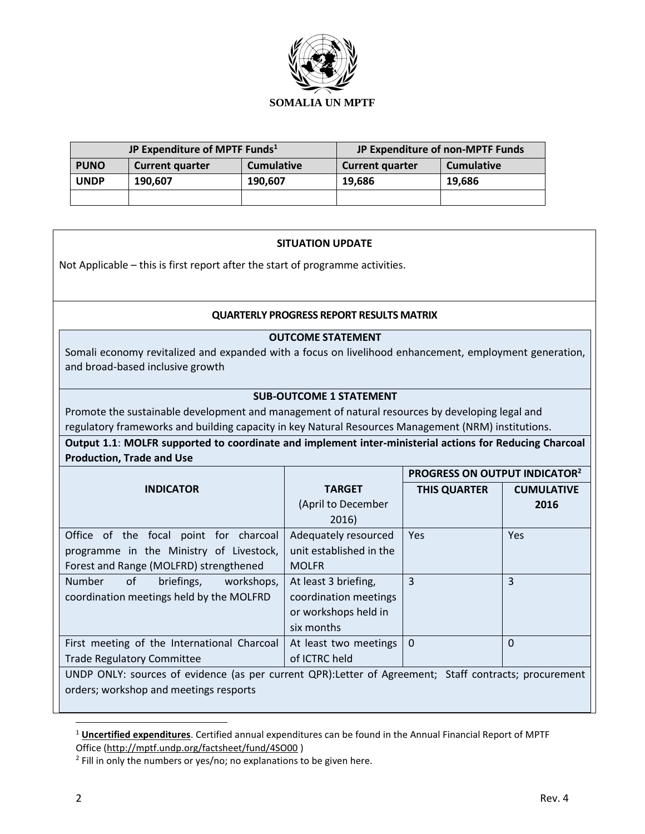

| JP Expenditure of MPTF Funds <sup>1</sup> |                        |                   | JP Expenditure of non-MPTF Funds            |        |  |
|-------------------------------------------|------------------------|-------------------|---------------------------------------------|--------|--|
| <b>PUNO</b>                               | <b>Current quarter</b> | <b>Cumulative</b> | <b>Cumulative</b><br><b>Current quarter</b> |        |  |
| <b>UNDP</b>                               | 190.607<br>190.607     |                   | 19.686                                      | 19.686 |  |
|                                           |                        |                   |                                             |        |  |

### **SITUATION UPDATE**

Not Applicable – this is first report after the start of programme activities.

#### **QUARTERLY PROGRESS REPORT RESULTS MATRIX**

#### **OUTCOME STATEMENT**

Somali economy revitalized and expanded with a focus on livelihood enhancement, employment generation, and broad-based inclusive growth

### **SUB-OUTCOME 1 STATEMENT**

Promote the sustainable development and management of natural resources by developing legal and regulatory frameworks and building capacity in key Natural Resources Management (NRM) institutions.

**Output 1.1**: **MOLFR supported to coordinate and implement inter-ministerial actions for Reducing Charcoal Production, Trade and Use**

|                                                                                                       |                         | PROGRESS ON OUTPUT INDICATOR <sup>2</sup> |                   |  |  |
|-------------------------------------------------------------------------------------------------------|-------------------------|-------------------------------------------|-------------------|--|--|
| <b>INDICATOR</b>                                                                                      | <b>TARGET</b>           | <b>THIS QUARTER</b>                       | <b>CUMULATIVE</b> |  |  |
|                                                                                                       | (April to December      |                                           | 2016              |  |  |
|                                                                                                       | 2016)                   |                                           |                   |  |  |
| Office of the focal point for charcoal                                                                | Adequately resourced    | Yes.                                      | <b>Yes</b>        |  |  |
| programme in the Ministry of Livestock,                                                               | unit established in the |                                           |                   |  |  |
| Forest and Range (MOLFRD) strengthened                                                                | <b>MOLFR</b>            |                                           |                   |  |  |
| <b>Number</b><br>0f<br>briefings,<br>workshops,                                                       | At least 3 briefing,    | 3                                         | 3                 |  |  |
| coordination meetings held by the MOLFRD                                                              | coordination meetings   |                                           |                   |  |  |
|                                                                                                       | or workshops held in    |                                           |                   |  |  |
|                                                                                                       | six months              |                                           |                   |  |  |
| First meeting of the International Charcoal                                                           | At least two meetings   | $\Omega$                                  | $\Omega$          |  |  |
| <b>Trade Regulatory Committee</b>                                                                     | of ICTRC held           |                                           |                   |  |  |
| UNDP ONLY: sources of evidence (as per current QPR):Letter of Agreement; Staff contracts; procurement |                         |                                           |                   |  |  |
| orders; workshop and meetings resports                                                                |                         |                                           |                   |  |  |

<sup>1</sup> **Uncertified expenditures**. Certified annual expenditures can be found in the Annual Financial Report of MPTF Office [\(http://mptf.undp.org/factsheet/fund/4SO00](http://mptf.undp.org/factsheet/fund/4SO00) )

 $\overline{\phantom{a}}$ 

<sup>&</sup>lt;sup>2</sup> Fill in only the numbers or yes/no; no explanations to be given here.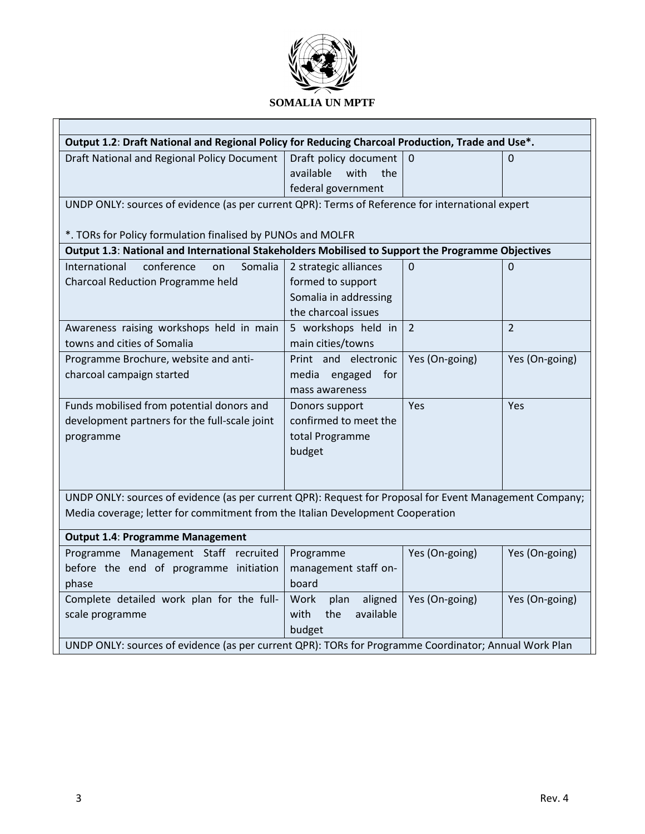

| Output 1.2: Draft National and Regional Policy for Reducing Charcoal Production, Trade and Use*.        |                          |                |                |  |  |
|---------------------------------------------------------------------------------------------------------|--------------------------|----------------|----------------|--|--|
| Draft National and Regional Policy Document                                                             | Draft policy document    | $\Omega$       | 0              |  |  |
|                                                                                                         | available<br>with<br>the |                |                |  |  |
|                                                                                                         | federal government       |                |                |  |  |
| UNDP ONLY: sources of evidence (as per current QPR): Terms of Reference for international expert        |                          |                |                |  |  |
|                                                                                                         |                          |                |                |  |  |
| *. TORs for Policy formulation finalised by PUNOs and MOLFR                                             |                          |                |                |  |  |
| Output 1.3: National and International Stakeholders Mobilised to Support the Programme Objectives       |                          |                |                |  |  |
| conference<br>International<br>Somalia<br>on                                                            | 2 strategic alliances    | $\overline{0}$ | $\Omega$       |  |  |
| Charcoal Reduction Programme held                                                                       | formed to support        |                |                |  |  |
|                                                                                                         | Somalia in addressing    |                |                |  |  |
|                                                                                                         | the charcoal issues      |                |                |  |  |
| Awareness raising workshops held in main                                                                | 5 workshops held in      | $\overline{2}$ | $\overline{2}$ |  |  |
| towns and cities of Somalia                                                                             | main cities/towns        |                |                |  |  |
| Programme Brochure, website and anti-                                                                   | Print and electronic     | Yes (On-going) | Yes (On-going) |  |  |
| charcoal campaign started                                                                               | media engaged<br>for     |                |                |  |  |
|                                                                                                         | mass awareness           |                |                |  |  |
| Funds mobilised from potential donors and                                                               | Donors support           | Yes            | Yes            |  |  |
| development partners for the full-scale joint                                                           | confirmed to meet the    |                |                |  |  |
| programme                                                                                               | total Programme          |                |                |  |  |
|                                                                                                         | budget                   |                |                |  |  |
|                                                                                                         |                          |                |                |  |  |
|                                                                                                         |                          |                |                |  |  |
| UNDP ONLY: sources of evidence (as per current QPR): Request for Proposal for Event Management Company; |                          |                |                |  |  |
| Media coverage; letter for commitment from the Italian Development Cooperation                          |                          |                |                |  |  |
| <b>Output 1.4: Programme Management</b>                                                                 |                          |                |                |  |  |
| Programme Management Staff recruited                                                                    | Programme                | Yes (On-going) | Yes (On-going) |  |  |
| before the end of programme initiation                                                                  | management staff on-     |                |                |  |  |
| phase                                                                                                   | board                    |                |                |  |  |
| Complete detailed work plan for the full-                                                               | aligned<br>Work<br>plan  | Yes (On-going) | Yes (On-going) |  |  |
| scale programme                                                                                         | available<br>with<br>the |                |                |  |  |
|                                                                                                         | budget                   |                |                |  |  |
| UNDP ONLY: sources of evidence (as per current QPR): TORs for Programme Coordinator; Annual Work Plan   |                          |                |                |  |  |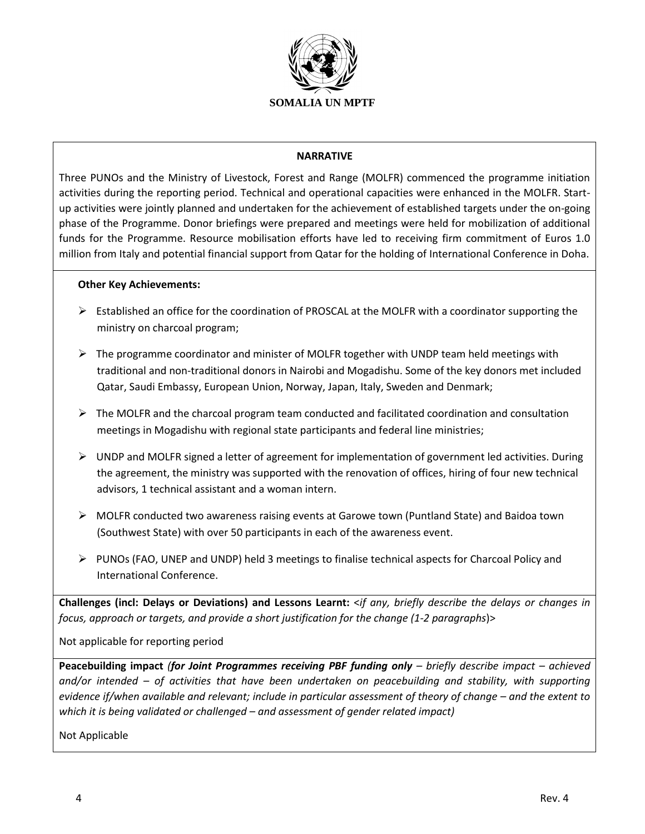

#### **NARRATIVE**

Three PUNOs and the Ministry of Livestock, Forest and Range (MOLFR) commenced the programme initiation activities during the reporting period. Technical and operational capacities were enhanced in the MOLFR. Startup activities were jointly planned and undertaken for the achievement of established targets under the on-going phase of the Programme. Donor briefings were prepared and meetings were held for mobilization of additional funds for the Programme. Resource mobilisation efforts have led to receiving firm commitment of Euros 1.0 million from Italy and potential financial support from Qatar for the holding of International Conference in Doha.

#### **Other Key Achievements:**

- $\triangleright$  Established an office for the coordination of PROSCAL at the MOLFR with a coordinator supporting the ministry on charcoal program;
- $\triangleright$  The programme coordinator and minister of MOLFR together with UNDP team held meetings with traditional and non-traditional donors in Nairobi and Mogadishu. Some of the key donors met included Qatar, Saudi Embassy, European Union, Norway, Japan, Italy, Sweden and Denmark;
- $\triangleright$  The MOLFR and the charcoal program team conducted and facilitated coordination and consultation meetings in Mogadishu with regional state participants and federal line ministries;
- $\triangleright$  UNDP and MOLFR signed a letter of agreement for implementation of government led activities. During the agreement, the ministry was supported with the renovation of offices, hiring of four new technical advisors, 1 technical assistant and a woman intern.
- $\triangleright$  MOLFR conducted two awareness raising events at Garowe town (Puntland State) and Baidoa town (Southwest State) with over 50 participants in each of the awareness event.
- $\triangleright$  PUNOs (FAO, UNEP and UNDP) held 3 meetings to finalise technical aspects for Charcoal Policy and International Conference.

**Challenges (incl: Delays or Deviations) and Lessons Learnt:** <*if any, briefly describe the delays or changes in focus, approach or targets, and provide a short justification for the change (1-2 paragraphs*)>

Not applicable for reporting period

**Peacebuilding impact** *(for Joint Programmes receiving PBF funding only – briefly describe impact – achieved and/or intended – of activities that have been undertaken on peacebuilding and stability, with supporting evidence if/when available and relevant; include in particular assessment of theory of change – and the extent to which it is being validated or challenged – and assessment of gender related impact)*

Not Applicable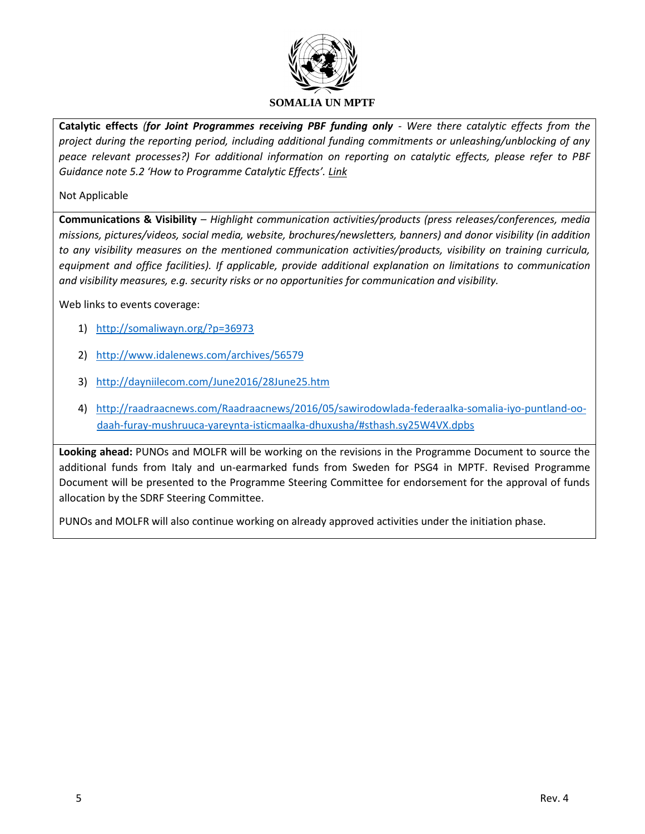

**Catalytic effects** *(for Joint Programmes receiving PBF funding only - Were there catalytic effects from the project during the reporting period, including additional funding commitments or unleashing/unblocking of any peace relevant processes?) For additional information on reporting on catalytic effects, please refer to PBF Guidance note 5.2 'How to Programme Catalytic Effects'. [Link](https://www.google.com/url?sa=t&rct=j&q=&esrc=s&source=web&cd=1&cad=rja&uact=8&ved=0ahUKEwi-g8DYlOjMAhUEph4KHfuvAAAQFggdMAA&url=http%3A%2F%2Fwww.unpbf.org%2Fdocs%2FPART-V-Guidance-Note-5.2-How-to-program-for-catalytic-effects-FINAL-April-2014.doc&usg=AFQjCNF6vkEHrhOQ7OCja_aME_Y7qazgWQ)*

### Not Applicable

**Communications & Visibility** *– Highlight communication activities/products (press releases/conferences, media missions, pictures/videos, social media, website, brochures/newsletters, banners) and donor visibility (in addition to any visibility measures on the mentioned communication activities/products, visibility on training curricula, equipment and office facilities). If applicable, provide additional explanation on limitations to communication and visibility measures, e.g. security risks or no opportunities for communication and visibility.*

Web links to events coverage:

- 1) <http://somaliwayn.org/?p=36973>
- 2) <http://www.idalenews.com/archives/56579>
- 3) <http://dayniilecom.com/June2016/28June25.htm>
- 4) [http://raadraacnews.com/Raadraacnews/2016/05/sawirodowlada-federaalka-somalia-iyo-puntland-oo](http://raadraacnews.com/Raadraacnews/2016/05/sawirodowlada-federaalka-somalia-iyo-puntland-oo-daah-furay-mushruuca-yareynta-isticmaalka-dhuxusha/#sthash.sy25W4VX.dpbs)[daah-furay-mushruuca-yareynta-isticmaalka-dhuxusha/#sthash.sy25W4VX.dpbs](http://raadraacnews.com/Raadraacnews/2016/05/sawirodowlada-federaalka-somalia-iyo-puntland-oo-daah-furay-mushruuca-yareynta-isticmaalka-dhuxusha/#sthash.sy25W4VX.dpbs)

**Looking ahead:** PUNOs and MOLFR will be working on the revisions in the Programme Document to source the additional funds from Italy and un-earmarked funds from Sweden for PSG4 in MPTF. Revised Programme Document will be presented to the Programme Steering Committee for endorsement for the approval of funds allocation by the SDRF Steering Committee.

PUNOs and MOLFR will also continue working on already approved activities under the initiation phase.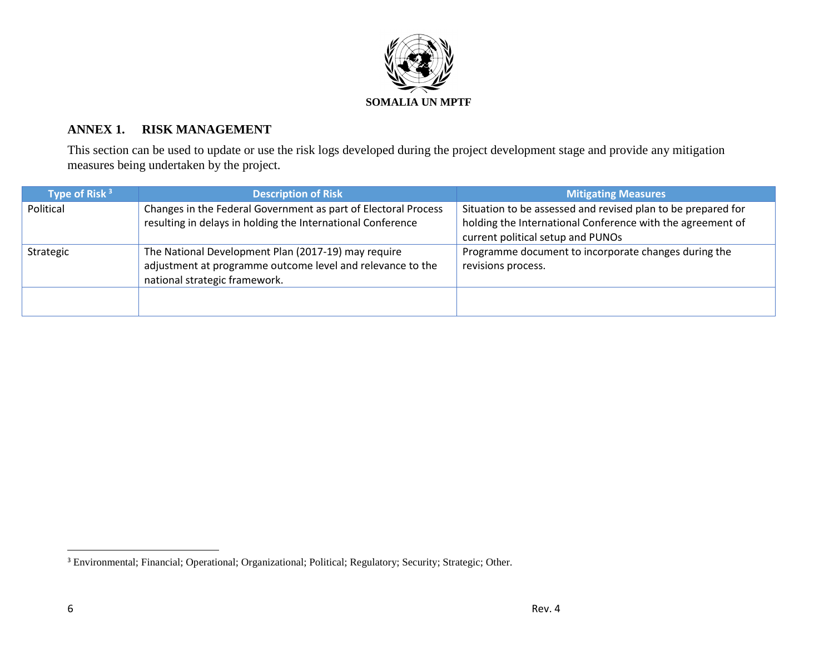

# **ANNEX 1. RISK MANAGEMENT**

This section can be used to update or use the risk logs developed during the project development stage and provide any mitigation measures being undertaken by the project.

| Type of Risk $3$ | <b>Description of Risk</b>                                                                                                                         | <b>Mitigating Measures</b>                                                                                                                                      |
|------------------|----------------------------------------------------------------------------------------------------------------------------------------------------|-----------------------------------------------------------------------------------------------------------------------------------------------------------------|
| Political        | Changes in the Federal Government as part of Electoral Process<br>resulting in delays in holding the International Conference                      | Situation to be assessed and revised plan to be prepared for<br>holding the International Conference with the agreement of<br>current political setup and PUNOs |
| Strategic        | The National Development Plan (2017-19) may require<br>adjustment at programme outcome level and relevance to the<br>national strategic framework. | Programme document to incorporate changes during the<br>revisions process.                                                                                      |
|                  |                                                                                                                                                    |                                                                                                                                                                 |

 $\overline{a}$ 

<sup>&</sup>lt;sup>3</sup> Environmental; Financial; Operational; Organizational; Political; Regulatory; Security; Strategic; Other.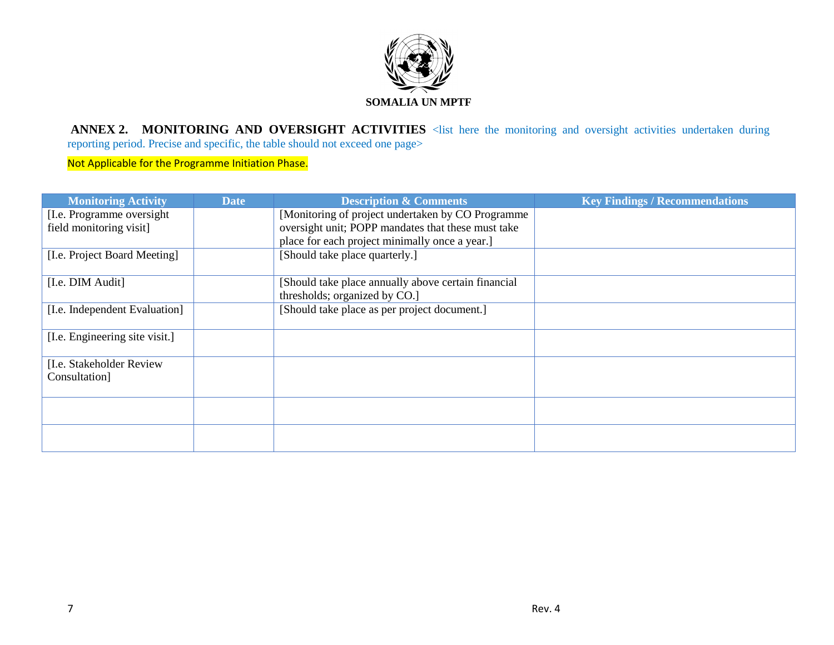

ANNEX 2. MONITORING AND OVERSIGHT ACTIVITIES <list here the monitoring and oversight activities undertaken during reporting period. Precise and specific, the table should not exceed one page>

Not Applicable for the Programme Initiation Phase.

| <b>Monitoring Activity</b>     | <b>Date</b> | <b>Description &amp; Comments</b>                   | <b>Key Findings / Recommendations</b> |
|--------------------------------|-------------|-----------------------------------------------------|---------------------------------------|
| [I.e. Programme oversight]     |             | [Monitoring of project undertaken by CO Programme   |                                       |
| field monitoring visit]        |             | oversight unit; POPP mandates that these must take  |                                       |
|                                |             | place for each project minimally once a year.]      |                                       |
| [I.e. Project Board Meeting]   |             | [Should take place quarterly.]                      |                                       |
| [I.e. DIM Audit]               |             | [Should take place annually above certain financial |                                       |
|                                |             | thresholds; organized by CO.]                       |                                       |
| [I.e. Independent Evaluation]  |             | [Should take place as per project document.]        |                                       |
| [I.e. Engineering site visit.] |             |                                                     |                                       |
| [I.e. Stakeholder Review]      |             |                                                     |                                       |
| Consultation]                  |             |                                                     |                                       |
|                                |             |                                                     |                                       |
|                                |             |                                                     |                                       |